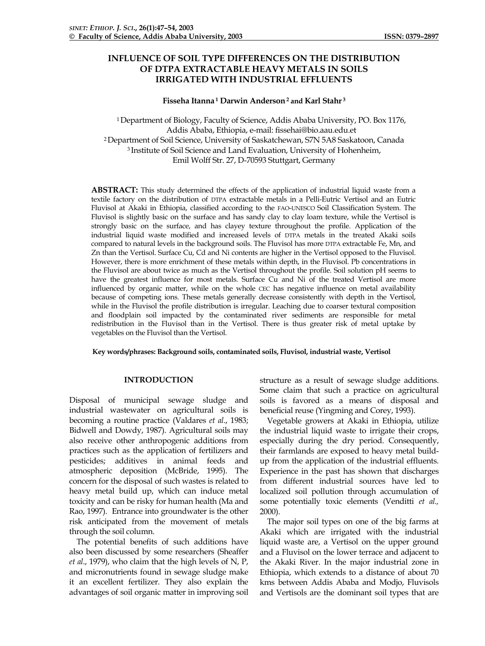# **INFLUENCE OF SOIL TYPE DIFFERENCES ON THE DISTRIBUTION OF DTPA EXTRACTABLE HEAVY METALS IN SOILS IRRIGATED WITH INDUSTRIAL EFFLUENTS**

## **Fisseha Itanna 1 Darwin Anderson 2 and Karl Stahr 3**

1 Department of Biology, Faculty of Science, Addis Ababa University, PO. Box 1176, Addis Ababa, Ethiopia, e-mail: fissehai@bio.aau.edu.et 2 Department of Soil Science, University of Saskatchewan, S7N 5A8 Saskatoon, Canada 3 Institute of Soil Science and Land Evaluation, University of Hohenheim, Emil Wolff Str. 27, D-70593 Stuttgart, Germany

**ABSTRACT:** This study determined the effects of the application of industrial liquid waste from a textile factory on the distribution of DTPA extractable metals in a Pelli-Eutric Vertisol and an Eutric Fluvisol at Akaki in Ethiopia, classified according to the FAO-UNESCO Soil Classification System. The Fluvisol is slightly basic on the surface and has sandy clay to clay loam texture, while the Vertisol is strongly basic on the surface, and has clayey texture throughout the profile. Application of the industrial liquid waste modified and increased levels of DTPA metals in the treated Akaki soils compared to natural levels in the background soils. The Fluvisol has more DTPA extractable Fe, Mn, and Zn than the Vertisol. Surface Cu, Cd and Ni contents are higher in the Vertisol opposed to the Fluvisol. However, there is more enrichment of these metals within depth, in the Fluvisol. Pb concentrations in the Fluvisol are about twice as much as the Vertisol throughout the profile. Soil solution pH seems to have the greatest influence for most metals. Surface Cu and Ni of the treated Vertisol are more influenced by organic matter, while on the whole CEC has negative influence on metal availability because of competing ions. These metals generally decrease consistently with depth in the Vertisol, while in the Fluvisol the profile distribution is irregular. Leaching due to coarser textural composition and floodplain soil impacted by the contaminated river sediments are responsible for metal redistribution in the Fluvisol than in the Vertisol. There is thus greater risk of metal uptake by vegetables on the Fluvisol than the Vertisol.

**Key words/phrases: Background soils, contaminated soils, Fluvisol, industrial waste, Vertisol**

## **INTRODUCTION**

Disposal of municipal sewage sludge and industrial wastewater on agricultural soils is becoming a routine practice (Valdares *et al*., 1983; Bidwell and Dowdy, 1987). Agricultural soils may also receive other anthropogenic additions from practices such as the application of fertilizers and pesticides; additives in animal feeds and atmospheric deposition (McBride, 1995). The concern for the disposal of such wastes is related to heavy metal build up, which can induce metal toxicity and can be risky for human health (Ma and Rao, 1997). Entrance into groundwater is the other risk anticipated from the movement of metals through the soil column.

 The potential benefits of such additions have also been discussed by some researchers (Sheaffer *et al*., 1979), who claim that the high levels of N, P, and micronutrients found in sewage sludge make it an excellent fertilizer. They also explain the advantages of soil organic matter in improving soil

structure as a result of sewage sludge additions. Some claim that such a practice on agricultural soils is favored as a means of disposal and beneficial reuse (Yingming and Corey, 1993).

 Vegetable growers at Akaki in Ethiopia, utilize the industrial liquid waste to irrigate their crops, especially during the dry period. Consequently, their farmlands are exposed to heavy metal buildup from the application of the industrial effluents. Experience in the past has shown that discharges from different industrial sources have led to localized soil pollution through accumulation of some potentially toxic elements (Venditti *et al.,* 2000).

 The major soil types on one of the big farms at Akaki which are irrigated with the industrial liquid waste are, a Vertisol on the upper ground and a Fluvisol on the lower terrace and adjacent to the Akaki River. In the major industrial zone in Ethiopia, which extends to a distance of about 70 kms between Addis Ababa and Modjo, Fluvisols and Vertisols are the dominant soil types that are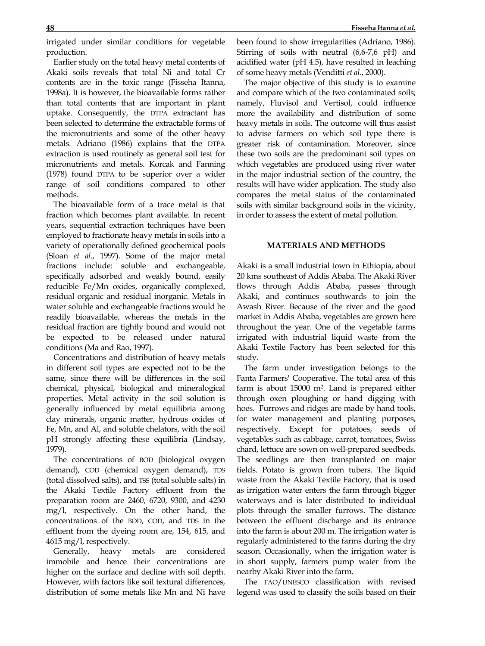irrigated under similar conditions for vegetable production.

 Earlier study on the total heavy metal contents of Akaki soils reveals that total Ni and total Cr contents are in the toxic range (Fisseha Itanna, 1998a). It is however, the bioavailable forms rather than total contents that are important in plant uptake. Consequently, the DTPA extractant has been selected to determine the extractable forms of the micronutrients and some of the other heavy metals. Adriano (1986) explains that the DTPA extraction is used routinely as general soil test for micronutrients and metals. Korcak and Fanning (1978) found DTPA to be superior over a wider range of soil conditions compared to other methods.

 The bioavailable form of a trace metal is that fraction which becomes plant available. In recent years, sequential extraction techniques have been employed to fractionate heavy metals in soils into a variety of operationally defined geochemical pools (Sloan *et al*., 1997). Some of the major metal fractions include: soluble and exchangeable, specifically adsorbed and weakly bound, easily reducible Fe/Mn oxides, organically complexed, residual organic and residual inorganic. Metals in water soluble and exchangeable fractions would be readily bioavailable, whereas the metals in the residual fraction are tightly bound and would not be expected to be released under natural conditions (Ma and Rao, 1997).

 Concentrations and distribution of heavy metals in different soil types are expected not to be the same, since there will be differences in the soil chemical, physical, biological and mineralogical properties. Metal activity in the soil solution is generally influenced by metal equilibria among clay minerals, organic matter, hydrous oxides of Fe, Mn, and Al, and soluble chelators, with the soil pH strongly affecting these equilibria (Lindsay, 1979).

 The concentrations of BOD (biological oxygen demand), COD (chemical oxygen demand), TDS (total dissolved salts), and TSS (total soluble salts) in the Akaki Textile Factory effluent from the preparation room are 2460, 6720, 9300, and 4230 mg/l, respectively. On the other hand, the concentrations of the BOD, COD, and TDS in the effluent from the dyeing room are, 154, 615, and 4615 mg/l, respectively.

 Generally, heavy metals are considered immobile and hence their concentrations are higher on the surface and decline with soil depth. However, with factors like soil textural differences, distribution of some metals like Mn and Ni have

been found to show irregularities (Adriano, 1986). Stirring of soils with neutral (6,6-7,6 pH) and acidified water (pH 4.5), have resulted in leaching of some heavy metals (Venditti *et al*., 2000).

The major objective of this study is to examine and compare which of the two contaminated soils; namely, Fluvisol and Vertisol, could influence more the availability and distribution of some heavy metals in soils. The outcome will thus assist to advise farmers on which soil type there is greater risk of contamination. Moreover, since these two soils are the predominant soil types on which vegetables are produced using river water in the major industrial section of the country, the results will have wider application. The study also compares the metal status of the contaminated soils with similar background soils in the vicinity, in order to assess the extent of metal pollution.

### **MATERIALS AND METHODS**

Akaki is a small industrial town in Ethiopia, about 20 kms southeast of Addis Ababa. The Akaki River flows through Addis Ababa, passes through Akaki, and continues southwards to join the Awash River. Because of the river and the good market in Addis Ababa, vegetables are grown here throughout the year. One of the vegetable farms irrigated with industrial liquid waste from the Akaki Textile Factory has been selected for this study.

 The farm under investigation belongs to the Fanta Farmers' Cooperative. The total area of this farm is about 15000 m2. Land is prepared either through oxen ploughing or hand digging with hoes. Furrows and ridges are made by hand tools, for water management and planting purposes, respectively. Except for potatoes, seeds of vegetables such as cabbage, carrot, tomatoes, Swiss chard, lettuce are sown on well-prepared seedbeds. The seedlings are then transplanted on major fields. Potato is grown from tubers. The liquid waste from the Akaki Textile Factory, that is used as irrigation water enters the farm through bigger waterways and is later distributed to individual plots through the smaller furrows. The distance between the effluent discharge and its entrance into the farm is about 200 m. The irrigation water is regularly administered to the farms during the dry season. Occasionally, when the irrigation water is in short supply, farmers pump water from the nearby Akaki River into the farm.

 The FAO/UNESCO classification with revised legend was used to classify the soils based on their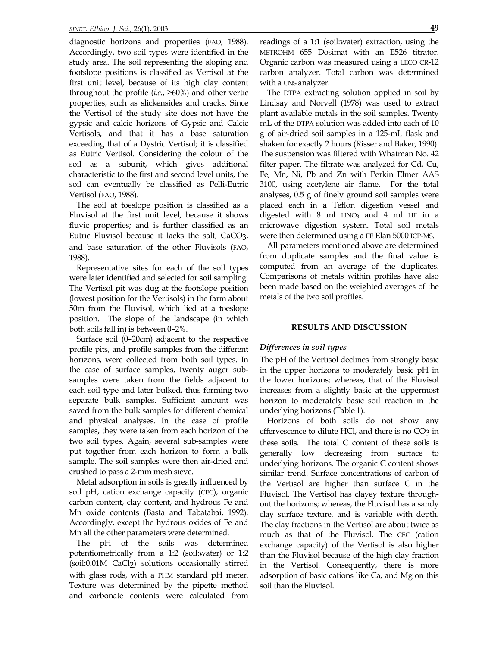diagnostic horizons and properties (FAO, 1988). Accordingly, two soil types were identified in the study area. The soil representing the sloping and footslope positions is classified as Vertisol at the first unit level, because of its high clay content throughout the profile (*i.e.*, >60%) and other vertic properties, such as slickensides and cracks. Since the Vertisol of the study site does not have the gypsic and calcic horizons of Gypsic and Calcic Vertisols, and that it has a base saturation exceeding that of a Dystric Vertisol; it is classified as Eutric Vertisol. Considering the colour of the soil as a subunit, which gives additional characteristic to the first and second level units, the soil can eventually be classified as Pelli-Eutric Vertisol (FAO, 1988).

 The soil at toeslope position is classified as a Fluvisol at the first unit level, because it shows fluvic properties; and is further classified as an Eutric Fluvisol because it lacks the salt, CaCO3, and base saturation of the other Fluvisols (FAO, 1988).

 Representative sites for each of the soil types were later identified and selected for soil sampling. The Vertisol pit was dug at the footslope position (lowest position for the Vertisols) in the farm about 50m from the Fluvisol, which lied at a toeslope position. The slope of the landscape (in which both soils fall in) is between 0–2%.

 Surface soil (0–20cm) adjacent to the respective profile pits, and profile samples from the different horizons, were collected from both soil types. In the case of surface samples, twenty auger subsamples were taken from the fields adjacent to each soil type and later bulked, thus forming two separate bulk samples. Sufficient amount was saved from the bulk samples for different chemical and physical analyses. In the case of profile samples, they were taken from each horizon of the two soil types. Again, several sub-samples were put together from each horizon to form a bulk sample. The soil samples were then air-dried and crushed to pass a 2-mm mesh sieve.

 Metal adsorption in soils is greatly influenced by soil pH, cation exchange capacity (CEC), organic carbon content, clay content, and hydrous Fe and Mn oxide contents (Basta and Tabatabai, 1992). Accordingly, except the hydrous oxides of Fe and Mn all the other parameters were determined.

 The pH of the soils was determined potentiometrically from a 1:2 (soil:water) or 1:2  $(soil:0.01M$  CaCl $2)$  solutions occasionally stirred with glass rods, with a PHM standard pH meter. Texture was determined by the pipette method and carbonate contents were calculated from

readings of a 1:1 (soil:water) extraction, using the METROHM 655 Dosimat with an E526 titrator. Organic carbon was measured using a LECO CR-12 carbon analyzer. Total carbon was determined with a CNS analyzer.

 The DTPA extracting solution applied in soil by Lindsay and Norvell (1978) was used to extract plant available metals in the soil samples. Twenty mL of the DTPA solution was added into each of 10 g of air-dried soil samples in a 125-mL flask and shaken for exactly 2 hours (Risser and Baker, 1990). The suspension was filtered with Whatman No. 42 filter paper. The filtrate was analyzed for Cd, Cu, Fe, Mn, Ni, Pb and Zn with Perkin Elmer AAS 3100, using acetylene air flame. For the total analyses, 0.5 g of finely ground soil samples were placed each in a Teflon digestion vessel and digested with  $8$  ml  $HNO<sub>3</sub>$  and  $4$  ml  $HF$  in a microwave digestion system. Total soil metals were then determined using a PE Elan 5000 ICP-MS.

 All parameters mentioned above are determined from duplicate samples and the final value is computed from an average of the duplicates. Comparisons of metals within profiles have also been made based on the weighted averages of the metals of the two soil profiles.

## **RESULTS AND DISCUSSION**

## *Differences in soil types*

The pH of the Vertisol declines from strongly basic in the upper horizons to moderately basic pH in the lower horizons; whereas, that of the Fluvisol increases from a slightly basic at the uppermost horizon to moderately basic soil reaction in the underlying horizons (Table 1).

 Horizons of both soils do not show any effervescence to dilute HCl, and there is no CO3 in these soils. The total C content of these soils is generally low decreasing from surface to underlying horizons. The organic C content shows similar trend. Surface concentrations of carbon of the Vertisol are higher than surface C in the Fluvisol. The Vertisol has clayey texture throughout the horizons; whereas, the Fluvisol has a sandy clay surface texture, and is variable with depth. The clay fractions in the Vertisol are about twice as much as that of the Fluvisol. The CEC (cation exchange capacity) of the Vertisol is also higher than the Fluvisol because of the high clay fraction in the Vertisol. Consequently, there is more adsorption of basic cations like Ca, and Mg on this soil than the Fluvisol.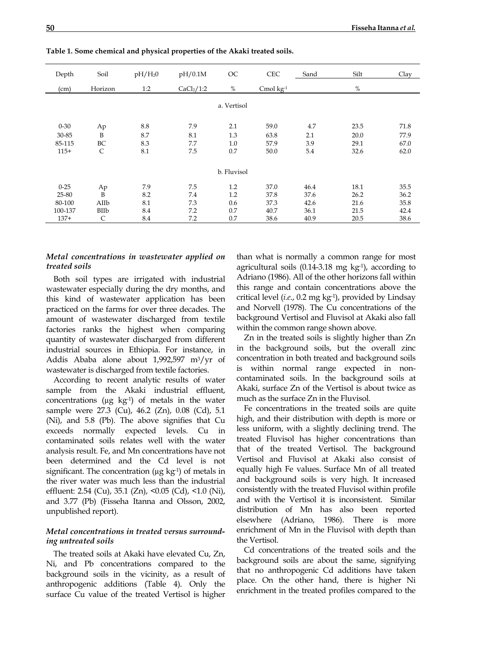| Depth    | Soil    | pH/H <sub>2</sub> 0 | pH/0.1M                | OC          | <b>CEC</b>  | Sand | Silt | Clay |
|----------|---------|---------------------|------------------------|-------------|-------------|------|------|------|
| (cm)     | Horizon | 1:2                 | CaCl <sub>2</sub> /1:2 | %           | Cmol $kg-1$ |      | $\%$ |      |
|          |         |                     |                        | a. Vertisol |             |      |      |      |
| $0 - 30$ | Ap      | 8.8                 | 7.9                    | 2.1         | 59.0        | 4.7  | 23.5 | 71.8 |
| 30-85    | B       | 8.7                 | 8.1                    | 1.3         | 63.8        | 2.1  | 20.0 | 77.9 |
| 85-115   | BC      | 8.3                 | 7.7                    | 1.0         | 57.9        | 3.9  | 29.1 | 67.0 |
| $115+$   | C       | 8.1                 | 7.5                    | 0.7         | 50.0        | 5.4  | 32.6 | 62.0 |
|          |         |                     |                        | b. Fluvisol |             |      |      |      |
| $0 - 25$ | Ap      | 7.9                 | 7.5                    | 1.2         | 37.0        | 46.4 | 18.1 | 35.5 |
| 25-80    | B       | 8.2                 | 7.4                    | 1.2         | 37.8        | 37.6 | 26.2 | 36.2 |
| 80-100   | AIIb    | 8.1                 | 7.3                    | 0.6         | 37.3        | 42.6 | 21.6 | 35.8 |
| 100-137  | BIIb    | 8.4                 | 7.2                    | 0.7         | 40.7        | 36.1 | 21.5 | 42.4 |
| $137+$   | C       | 8.4                 | 7.2                    | 0.7         | 38.6        | 40.9 | 20.5 | 38.6 |

**Table 1. Some chemical and physical properties of the Akaki treated soils.** 

## *Metal concentrations in wastewater applied on treated soils*

 Both soil types are irrigated with industrial wastewater especially during the dry months, and this kind of wastewater application has been practiced on the farms for over three decades. The amount of wastewater discharged from textile factories ranks the highest when comparing quantity of wastewater discharged from different industrial sources in Ethiopia. For instance, in Addis Ababa alone about 1,992,597 m3/yr of wastewater is discharged from textile factories.

 According to recent analytic results of water sample from the Akaki industrial effluent, concentrations ( $\mu$ g kg<sup>-1</sup>) of metals in the water sample were 27.3 (Cu), 46.2 (Zn), 0.08 (Cd), 5.1 (Ni), and 5.8 (Pb). The above signifies that Cu exceeds normally expected levels. Cu in contaminated soils relates well with the water analysis result. Fe, and Mn concentrations have not been determined and the Cd level is not significant. The concentration ( $\mu$ g kg-1) of metals in the river water was much less than the industrial effluent: 2.54 (Cu), 35.1 (Zn), <0.05 (Cd), <1.0 (Ni), and 3.77 (Pb) (Fisseha Itanna and Olsson, 2002, unpublished report).

# *Metal concentrations in treated versus surrounding untreated soils*

 The treated soils at Akaki have elevated Cu, Zn, Ni, and Pb concentrations compared to the background soils in the vicinity, as a result of anthropogenic additions (Table 4). Only the surface Cu value of the treated Vertisol is higher

than what is normally a common range for most agricultural soils  $(0.14-3.18 \text{ mg kg}^{-1})$ , according to Adriano (1986). All of the other horizons fall within this range and contain concentrations above the critical level (*i.e*., 0.2 mg kg-1), provided by Lindsay and Norvell (1978). The Cu concentrations of the background Vertisol and Fluvisol at Akaki also fall within the common range shown above.

 Zn in the treated soils is slightly higher than Zn in the background soils, but the overall zinc concentration in both treated and background soils is within normal range expected in noncontaminated soils. In the background soils at Akaki, surface Zn of the Vertisol is about twice as much as the surface Zn in the Fluvisol.

 Fe concentrations in the treated soils are quite high, and their distribution with depth is more or less uniform, with a slightly declining trend. The treated Fluvisol has higher concentrations than that of the treated Vertisol. The background Vertisol and Fluvisol at Akaki also consist of equally high Fe values. Surface Mn of all treated and background soils is very high. It increased consistently with the treated Fluvisol within profile and with the Vertisol it is inconsistent. Similar distribution of Mn has also been reported elsewhere (Adriano, 1986). There is more enrichment of Mn in the Fluvisol with depth than the Vertisol.

 Cd concentrations of the treated soils and the background soils are about the same, signifying that no anthropogenic Cd additions have taken place. On the other hand, there is higher Ni enrichment in the treated profiles compared to the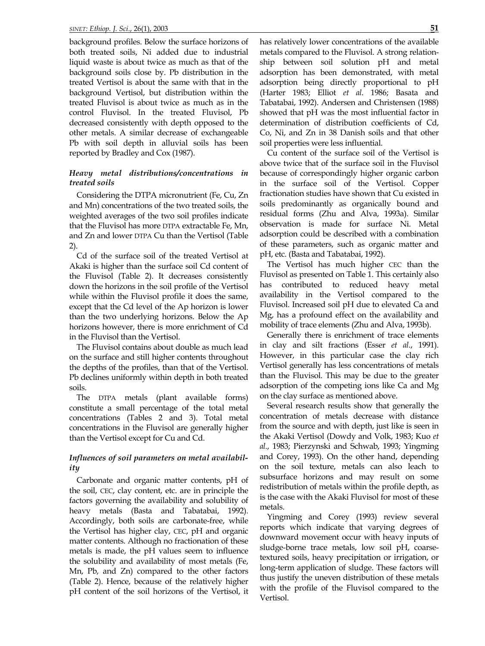background profiles. Below the surface horizons of both treated soils, Ni added due to industrial liquid waste is about twice as much as that of the background soils close by. Pb distribution in the treated Vertisol is about the same with that in the background Vertisol, but distribution within the treated Fluvisol is about twice as much as in the control Fluvisol. In the treated Fluvisol, Pb decreased consistently with depth opposed to the other metals. A similar decrease of exchangeable Pb with soil depth in alluvial soils has been reported by Bradley and Cox (1987).

## *Heavy metal distributions/concentrations in treated soils*

 Considering the DTPA micronutrient (Fe, Cu, Zn and Mn) concentrations of the two treated soils, the weighted averages of the two soil profiles indicate that the Fluvisol has more DTPA extractable Fe, Mn, and Zn and lower DTPA Cu than the Vertisol (Table 2).

Cd of the surface soil of the treated Vertisol at Akaki is higher than the surface soil Cd content of the Fluvisol (Table 2). It decreases consistently down the horizons in the soil profile of the Vertisol while within the Fluvisol profile it does the same, except that the Cd level of the Ap horizon is lower than the two underlying horizons. Below the Ap horizons however, there is more enrichment of Cd in the Fluvisol than the Vertisol.

 The Fluvisol contains about double as much lead on the surface and still higher contents throughout the depths of the profiles, than that of the Vertisol. Pb declines uniformly within depth in both treated soils.

 The DTPA metals (plant available forms) constitute a small percentage of the total metal concentrations (Tables 2 and 3). Total metal concentrations in the Fluvisol are generally higher than the Vertisol except for Cu and Cd.

# *Influences of soil parameters on metal availability*

 Carbonate and organic matter contents, pH of the soil, CEC, clay content, etc. are in principle the factors governing the availability and solubility of heavy metals (Basta and Tabatabai, 1992). Accordingly, both soils are carbonate-free, while the Vertisol has higher clay, CEC, pH and organic matter contents. Although no fractionation of these metals is made, the pH values seem to influence the solubility and availability of most metals (Fe, Mn, Pb, and Zn) compared to the other factors (Table 2). Hence, because of the relatively higher pH content of the soil horizons of the Vertisol, it

has relatively lower concentrations of the available metals compared to the Fluvisol. A strong relationship between soil solution pH and metal adsorption has been demonstrated, with metal adsorption being directly proportional to pH (Harter 1983; Elliot *et al*. 1986; Basata and Tabatabai, 1992). Andersen and Christensen (1988) showed that pH was the most influential factor in determination of distribution coefficients of Cd, Co, Ni, and Zn in 38 Danish soils and that other soil properties were less influential.

 Cu content of the surface soil of the Vertisol is above twice that of the surface soil in the Fluvisol because of correspondingly higher organic carbon in the surface soil of the Vertisol. Copper fractionation studies have shown that Cu existed in soils predominantly as organically bound and residual forms (Zhu and Alva, 1993a). Similar observation is made for surface Ni. Metal adsorption could be described with a combination of these parameters, such as organic matter and pH, etc. (Basta and Tabatabai, 1992).

 The Vertisol has much higher CEC than the Fluvisol as presented on Table 1. This certainly also has contributed to reduced heavy metal availability in the Vertisol compared to the Fluvisol. Increased soil pH due to elevated Ca and Mg, has a profound effect on the availability and mobility of trace elements (Zhu and Alva, 1993b).

 Generally there is enrichment of trace elements in clay and silt fractions (Esser *et al*., 1991). However, in this particular case the clay rich Vertisol generally has less concentrations of metals than the Fluvisol. This may be due to the greater adsorption of the competing ions like Ca and Mg on the clay surface as mentioned above.

 Several research results show that generally the concentration of metals decrease with distance from the source and with depth, just like is seen in the Akaki Vertisol (Dowdy and Volk, 1983; Kuo *et al*., 1983; Pierzynski and Schwab, 1993; Yingming and Corey, 1993). On the other hand, depending on the soil texture, metals can also leach to subsurface horizons and may result on some redistribution of metals within the profile depth, as is the case with the Akaki Fluvisol for most of these metals.

 Yingming and Corey (1993) review several reports which indicate that varying degrees of downward movement occur with heavy inputs of sludge-borne trace metals, low soil pH, coarsetextured soils, heavy precipitation or irrigation, or long-term application of sludge. These factors will thus justify the uneven distribution of these metals with the profile of the Fluvisol compared to the Vertisol.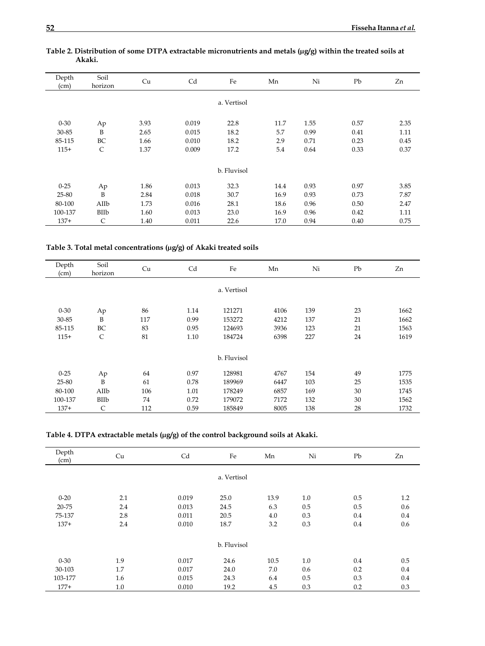| Depth    | Soil         |      |       |             |      |      |      |      |
|----------|--------------|------|-------|-------------|------|------|------|------|
| (cm)     | horizon      | Cu   | Cd    | Fe          | Mn   | Ni   | Pb   | Zn   |
|          |              |      |       | a. Vertisol |      |      |      |      |
| $0 - 30$ | Aр           | 3.93 | 0.019 | 22.8        | 11.7 | 1.55 | 0.57 | 2.35 |
| 30-85    | B            | 2.65 | 0.015 | 18.2        | 5.7  | 0.99 | 0.41 | 1.11 |
| 85-115   | BC           | 1.66 | 0.010 | 18.2        | 2.9  | 0.71 | 0.23 | 0.45 |
| $115+$   | $\mathsf{C}$ | 1.37 | 0.009 | 17.2        | 5.4  | 0.64 | 0.33 | 0.37 |
|          |              |      |       | b. Fluvisol |      |      |      |      |
| $0 - 25$ | Ap           | 1.86 | 0.013 | 32.3        | 14.4 | 0.93 | 0.97 | 3.85 |
| 25-80    | B            | 2.84 | 0.018 | 30.7        | 16.9 | 0.93 | 0.73 | 7.87 |
| 80-100   | AIIb         | 1.73 | 0.016 | 28.1        | 18.6 | 0.96 | 0.50 | 2.47 |
| 100-137  | BIIb         | 1.60 | 0.013 | 23.0        | 16.9 | 0.96 | 0.42 | 1.11 |
| $137+$   | C            | 1.40 | 0.011 | 22.6        | 17.0 | 0.94 | 0.40 | 0.75 |

## **Table 2. Distribution of some DTPA extractable micronutrients and metals (µg/g) within the treated soils at Akaki.**

**Table 3. Total metal concentrations (µg/g) of Akaki treated soils**

| Depth<br>(cm) | Soil<br>horizon | Cu  | Cd   | Fe          | Mn   | Ni  | Pb | Zn   |
|---------------|-----------------|-----|------|-------------|------|-----|----|------|
|               |                 |     |      | a. Vertisol |      |     |    |      |
| $0 - 30$      | Ap              | 86  | 1.14 | 121271      | 4106 | 139 | 23 | 1662 |
| 30-85         | $\mathbf B$     | 117 | 0.99 | 153272      | 4212 | 137 | 21 | 1662 |
| 85-115        | BC              | 83  | 0.95 | 124693      | 3936 | 123 | 21 | 1563 |
| $115+$        | $\mathsf{C}$    | 81  | 1.10 | 184724      | 6398 | 227 | 24 | 1619 |
|               |                 |     |      | b. Fluvisol |      |     |    |      |
| $0 - 25$      | Ap              | 64  | 0.97 | 128981      | 4767 | 154 | 49 | 1775 |
| 25-80         | $\, {\bf B}$    | 61  | 0.78 | 189969      | 6447 | 103 | 25 | 1535 |
| 80-100        | AIIb            | 106 | 1.01 | 178249      | 6857 | 169 | 30 | 1745 |
| 100-137       | BIIb            | 74  | 0.72 | 179072      | 7172 | 132 | 30 | 1562 |
| $137+$        | C               | 112 | 0.59 | 185849      | 8005 | 138 | 28 | 1732 |

| Depth<br>(cm) | Cu  | Cd    | Fe          | Mn   | Ni  | Pb  | Zn  |
|---------------|-----|-------|-------------|------|-----|-----|-----|
|               |     |       | a. Vertisol |      |     |     |     |
|               |     |       |             |      |     |     |     |
| $0 - 20$      | 2.1 | 0.019 | 25.0        | 13.9 | 1.0 | 0.5 | 1.2 |
| 20-75         | 2.4 | 0.013 | 24.5        | 6.3  | 0.5 | 0.5 | 0.6 |
| 75-137        | 2.8 | 0.011 | 20.5        | 4.0  | 0.3 | 0.4 | 0.4 |
| $137+$        | 2.4 | 0.010 | 18.7        | 3.2  | 0.3 | 0.4 | 0.6 |
|               |     |       | b. Fluvisol |      |     |     |     |
|               |     |       |             |      |     |     |     |
| $0 - 30$      | 1.9 | 0.017 | 24.6        | 10.5 | 1.0 | 0.4 | 0.5 |
| 30-103        | 1.7 | 0.017 | 24.0        | 7.0  | 0.6 | 0.2 | 0.4 |
| 103-177       | 1.6 | 0.015 | 24.3        | 6.4  | 0.5 | 0.3 | 0.4 |
| $177+$        | 1.0 | 0.010 | 19.2        | 4.5  | 0.3 | 0.2 | 0.3 |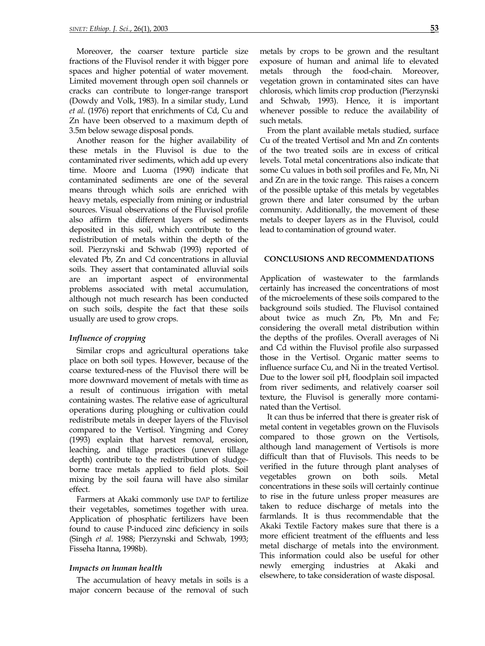Moreover, the coarser texture particle size fractions of the Fluvisol render it with bigger pore spaces and higher potential of water movement. Limited movement through open soil channels or cracks can contribute to longer-range transport (Dowdy and Volk, 1983). In a similar study, Lund *et al*. (1976) report that enrichments of Cd, Cu and Zn have been observed to a maximum depth of 3.5m below sewage disposal ponds.

 Another reason for the higher availability of these metals in the Fluvisol is due to the contaminated river sediments, which add up every time. Moore and Luoma (1990) indicate that contaminated sediments are one of the several means through which soils are enriched with heavy metals, especially from mining or industrial sources. Visual observations of the Fluvisol profile also affirm the different layers of sediments deposited in this soil, which contribute to the redistribution of metals within the depth of the soil. Pierzynski and Schwab (1993) reported of elevated Pb, Zn and Cd concentrations in alluvial soils. They assert that contaminated alluvial soils are an important aspect of environmental problems associated with metal accumulation, although not much research has been conducted on such soils, despite the fact that these soils usually are used to grow crops.

## *Influence of cropping*

 Similar crops and agricultural operations take place on both soil types. However, because of the coarse textured-ness of the Fluvisol there will be more downward movement of metals with time as a result of continuous irrigation with metal containing wastes. The relative ease of agricultural operations during ploughing or cultivation could redistribute metals in deeper layers of the Fluvisol compared to the Vertisol. Yingming and Corey (1993) explain that harvest removal, erosion, leaching, and tillage practices (uneven tillage depth) contribute to the redistribution of sludgeborne trace metals applied to field plots. Soil mixing by the soil fauna will have also similar effect.

 Farmers at Akaki commonly use DAP to fertilize their vegetables, sometimes together with urea. Application of phosphatic fertilizers have been found to cause P-induced zinc deficiency in soils (Singh *et al.* 1988; Pierzynski and Schwab, 1993; Fisseha Itanna, 1998b).

#### *Impacts on human health*

 The accumulation of heavy metals in soils is a major concern because of the removal of such metals by crops to be grown and the resultant exposure of human and animal life to elevated metals through the food-chain. Moreover, vegetation grown in contaminated sites can have chlorosis, which limits crop production (Pierzynski and Schwab, 1993). Hence, it is important whenever possible to reduce the availability of such metals.

 From the plant available metals studied, surface Cu of the treated Vertisol and Mn and Zn contents of the two treated soils are in excess of critical levels. Total metal concentrations also indicate that some Cu values in both soil profiles and Fe, Mn, Ni and Zn are in the toxic range. This raises a concern of the possible uptake of this metals by vegetables grown there and later consumed by the urban community. Additionally, the movement of these metals to deeper layers as in the Fluvisol, could lead to contamination of ground water.

#### **CONCLUSIONS AND RECOMMENDATIONS**

Application of wastewater to the farmlands certainly has increased the concentrations of most of the microelements of these soils compared to the background soils studied. The Fluvisol contained about twice as much Zn, Pb, Mn and Fe; considering the overall metal distribution within the depths of the profiles. Overall averages of Ni and Cd within the Fluvisol profile also surpassed those in the Vertisol. Organic matter seems to influence surface Cu, and Ni in the treated Vertisol. Due to the lower soil pH, floodplain soil impacted from river sediments, and relatively coarser soil texture, the Fluvisol is generally more contaminated than the Vertisol.

 It can thus be inferred that there is greater risk of metal content in vegetables grown on the Fluvisols compared to those grown on the Vertisols, although land management of Vertisols is more difficult than that of Fluvisols. This needs to be verified in the future through plant analyses of vegetables grown on both soils. Metal concentrations in these soils will certainly continue to rise in the future unless proper measures are taken to reduce discharge of metals into the farmlands. It is thus recommendable that the Akaki Textile Factory makes sure that there is a more efficient treatment of the effluents and less metal discharge of metals into the environment. This information could also be useful for other newly emerging industries at Akaki and elsewhere, to take consideration of waste disposal.